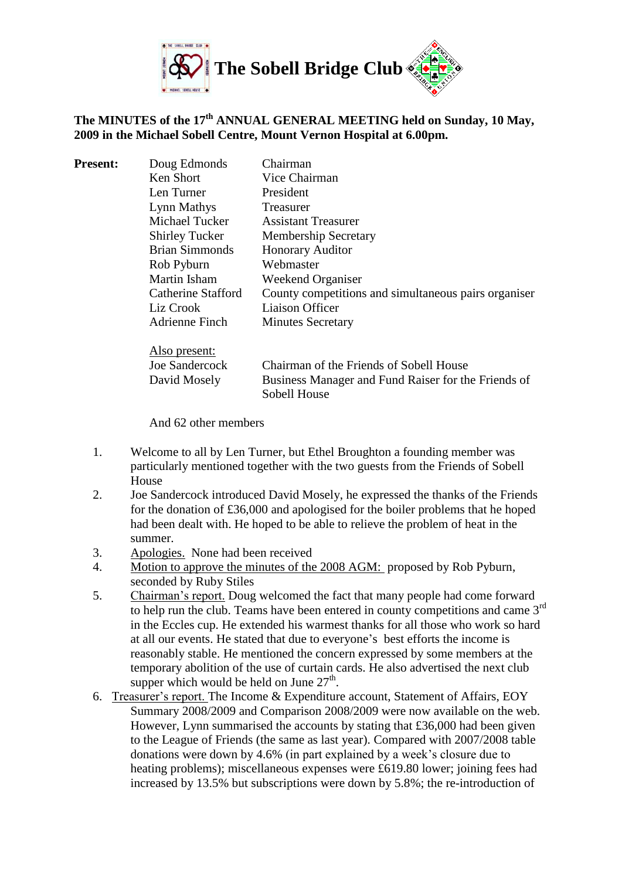

# **The MINUTES of the 17th ANNUAL GENERAL MEETING held on Sunday, 10 May, 2009 in the Michael Sobell Centre, Mount Vernon Hospital at 6.00pm.**

| <b>Present:</b> | Doug Edmonds          | Chairman                                                            |
|-----------------|-----------------------|---------------------------------------------------------------------|
|                 | Ken Short             | Vice Chairman                                                       |
|                 | Len Turner            | <b>President</b>                                                    |
|                 | Lynn Mathys           | Treasurer                                                           |
|                 | Michael Tucker        | <b>Assistant Treasurer</b>                                          |
|                 | <b>Shirley Tucker</b> | <b>Membership Secretary</b>                                         |
|                 | <b>Brian Simmonds</b> | <b>Honorary Auditor</b>                                             |
|                 | Rob Pyburn            | Webmaster                                                           |
|                 | Martin Isham          | Weekend Organiser                                                   |
|                 | Catherine Stafford    | County competitions and simultaneous pairs organiser                |
|                 | Liz Crook             | Liaison Officer                                                     |
|                 | Adrienne Finch        | <b>Minutes Secretary</b>                                            |
|                 | Also present:         |                                                                     |
|                 | Joe Sandercock        | Chairman of the Friends of Sobell House                             |
|                 | David Mosely          | Business Manager and Fund Raiser for the Friends of<br>Sobell House |
|                 |                       |                                                                     |

And 62 other members

- 1. Welcome to all by Len Turner, but Ethel Broughton a founding member was particularly mentioned together with the two guests from the Friends of Sobell House
- 2. Joe Sandercock introduced David Mosely, he expressed the thanks of the Friends for the donation of £36,000 and apologised for the boiler problems that he hoped had been dealt with. He hoped to be able to relieve the problem of heat in the summer.
- 3. Apologies. None had been received
- 4. Motion to approve the minutes of the 2008 AGM: proposed by Rob Pyburn, seconded by Ruby Stiles
- 5. Chairman's report. Doug welcomed the fact that many people had come forward to help run the club. Teams have been entered in county competitions and came  $3<sup>rd</sup>$ in the Eccles cup. He extended his warmest thanks for all those who work so hard at all our events. He stated that due to everyone's best efforts the income is reasonably stable. He mentioned the concern expressed by some members at the temporary abolition of the use of curtain cards. He also advertised the next club supper which would be held on June  $27<sup>th</sup>$ .
- 6. Treasurer's report. The [Income & Expenditure account, Statement of Affairs,](http://www.sobell-bridge.org.uk/AGMs/AGM2009/Income%20and%20Expenditure.pdf) [EOY](http://www.sobell-bridge.org.uk/AGMs/AGM2009/EOYSummary2008-9.pdf)  [Summary 2008/2009](http://www.sobell-bridge.org.uk/AGMs/AGM2009/EOYSummary2008-9.pdf) and [Comparison 2008/2009](http://www.sobell-bridge.org.uk/AGMs/AGM2009/End%20of%20Year%20Comparison.pdf) were now available on the web. However, Lynn summarised the accounts by stating that £36,000 had been given to the League of Friends (the same as last year). Compared with 2007/2008 table donations were down by 4.6% (in part explained by a week's closure due to heating problems); miscellaneous expenses were £619.80 lower; joining fees had increased by 13.5% but subscriptions were down by 5.8%; the re-introduction of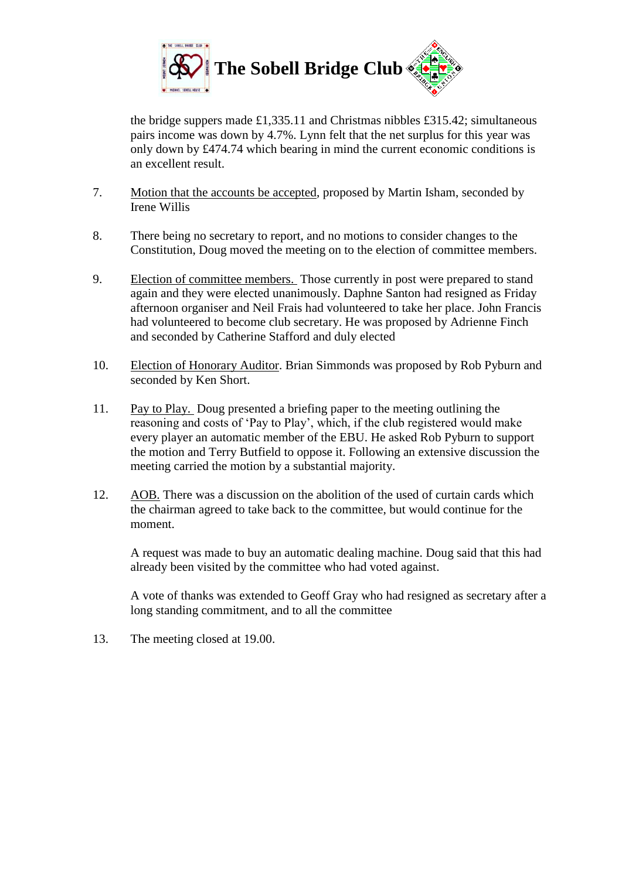

the bridge suppers made £1,335.11 and Christmas nibbles £315.42; simultaneous pairs income was down by 4.7%. Lynn felt that the net surplus for this year was only down by £474.74 which bearing in mind the current economic conditions is an excellent result.

- 7. Motion that the accounts be accepted, proposed by Martin Isham, seconded by Irene Willis
- 8. There being no secretary to report, and no motions to consider changes to the Constitution, Doug moved the meeting on to the election of committee members.
- 9. Election of committee members. Those currently in post were prepared to stand again and they were elected unanimously. Daphne Santon had resigned as Friday afternoon organiser and Neil Frais had volunteered to take her place. John Francis had volunteered to become club secretary. He was proposed by Adrienne Finch and seconded by Catherine Stafford and duly elected
- 10. Election of Honorary Auditor. Brian Simmonds was proposed by Rob Pyburn and seconded by Ken Short.
- 11. Pay to Play. Doug presented a briefing paper to the meeting outlining the reasoning and costs of 'Pay to Play', which, if the club registered would make every player an automatic member of the EBU. He asked Rob Pyburn to support the motion and Terry Butfield to oppose it. Following an extensive discussion the meeting carried the motion by a substantial majority.
- 12. AOB. There was a discussion on the abolition of the used of curtain cards which the chairman agreed to take back to the committee, but would continue for the moment.

A request was made to buy an automatic dealing machine. Doug said that this had already been visited by the committee who had voted against.

A vote of thanks was extended to Geoff Gray who had resigned as secretary after a long standing commitment, and to all the committee

13. The meeting closed at 19.00.